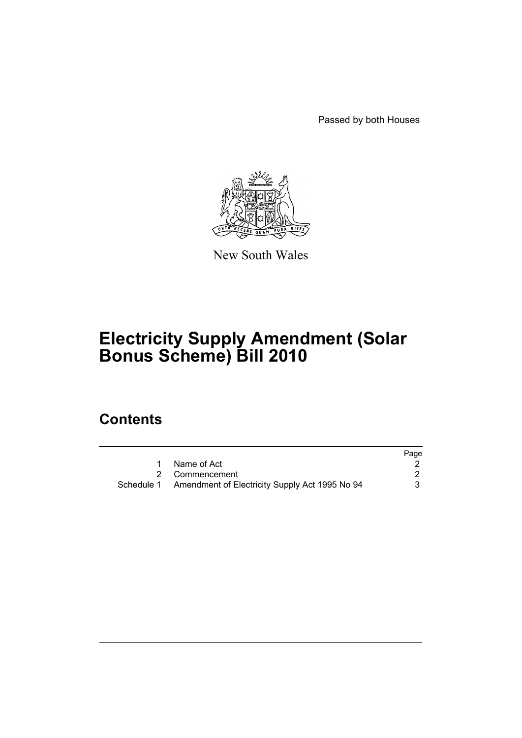Passed by both Houses



New South Wales

# **Electricity Supply Amendment (Solar Bonus Scheme) Bill 2010**

## **Contents**

|                                                           | Page |
|-----------------------------------------------------------|------|
| 1 Name of Act                                             |      |
| 2 Commencement                                            |      |
| Schedule 1 Amendment of Electricity Supply Act 1995 No 94 | 3    |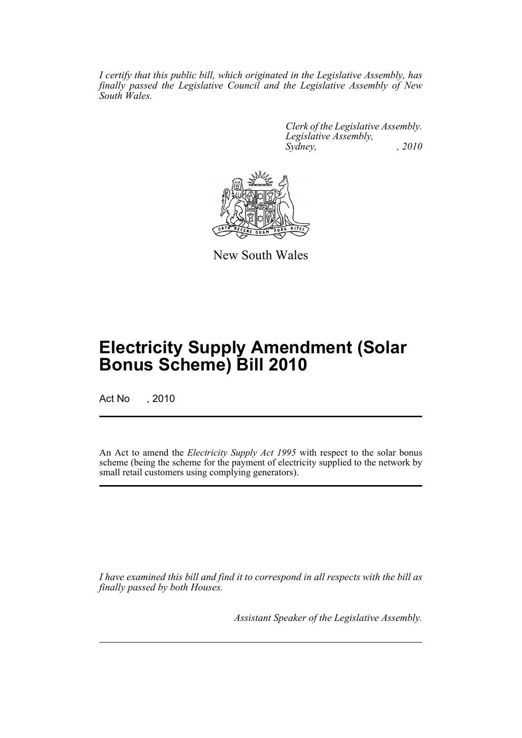*I certify that this public bill, which originated in the Legislative Assembly, has finally passed the Legislative Council and the Legislative Assembly of New South Wales.*

> *Clerk of the Legislative Assembly. Legislative Assembly, Sydney, , 2010*



New South Wales

## **Electricity Supply Amendment (Solar Bonus Scheme) Bill 2010**

Act No , 2010

An Act to amend the *Electricity Supply Act 1995* with respect to the solar bonus scheme (being the scheme for the payment of electricity supplied to the network by small retail customers using complying generators).

*I have examined this bill and find it to correspond in all respects with the bill as finally passed by both Houses.*

*Assistant Speaker of the Legislative Assembly.*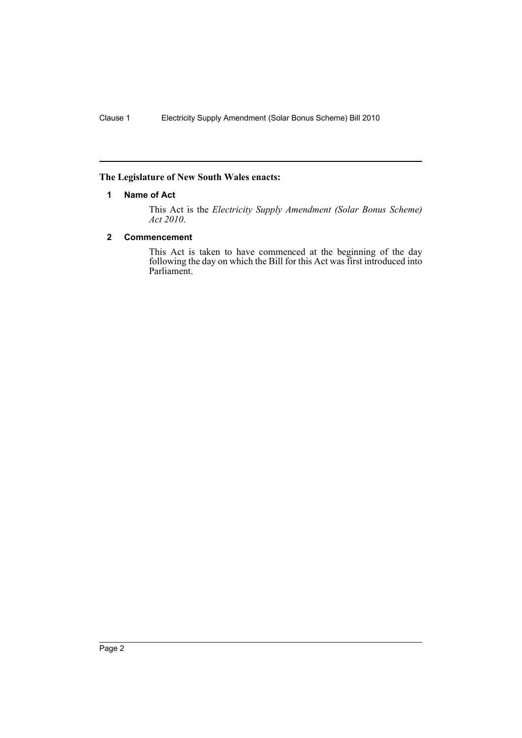#### <span id="page-2-0"></span>**The Legislature of New South Wales enacts:**

#### **1 Name of Act**

This Act is the *Electricity Supply Amendment (Solar Bonus Scheme) Act 2010*.

#### <span id="page-2-1"></span>**2 Commencement**

This Act is taken to have commenced at the beginning of the day following the day on which the Bill for this Act was first introduced into Parliament.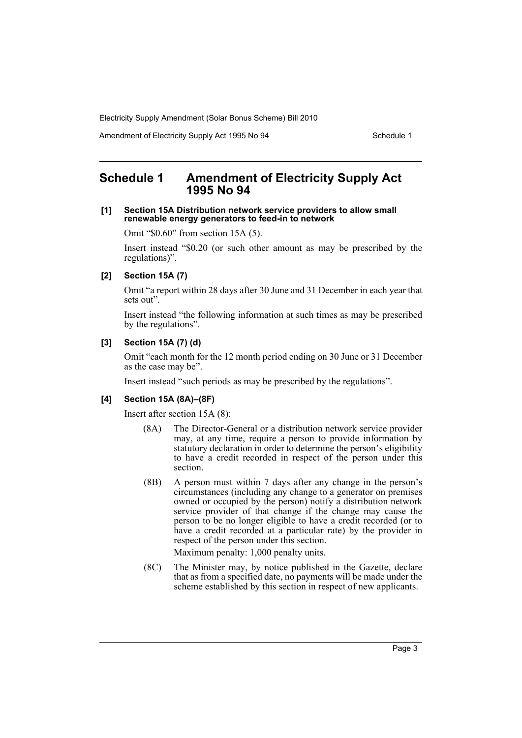Amendment of Electricity Supply Act 1995 No 94 Schedule 1

## <span id="page-3-0"></span>**Schedule 1 Amendment of Electricity Supply Act 1995 No 94**

#### **[1] Section 15A Distribution network service providers to allow small renewable energy generators to feed-in to network**

Omit "\$0.60" from section 15A (5).

Insert instead "\$0.20 (or such other amount as may be prescribed by the regulations)".

#### **[2] Section 15A (7)**

Omit "a report within 28 days after 30 June and 31 December in each year that sets out".

Insert instead "the following information at such times as may be prescribed by the regulations".

#### **[3] Section 15A (7) (d)**

Omit "each month for the 12 month period ending on 30 June or 31 December as the case may be".

Insert instead "such periods as may be prescribed by the regulations".

#### **[4] Section 15A (8A)–(8F)**

Insert after section 15A (8):

- (8A) The Director-General or a distribution network service provider may, at any time, require a person to provide information by statutory declaration in order to determine the person's eligibility to have a credit recorded in respect of the person under this section.
- (8B) A person must within 7 days after any change in the person's circumstances (including any change to a generator on premises owned or occupied by the person) notify a distribution network service provider of that change if the change may cause the person to be no longer eligible to have a credit recorded (or to have a credit recorded at a particular rate) by the provider in respect of the person under this section.

Maximum penalty: 1,000 penalty units.

(8C) The Minister may, by notice published in the Gazette, declare that as from a specified date, no payments will be made under the scheme established by this section in respect of new applicants.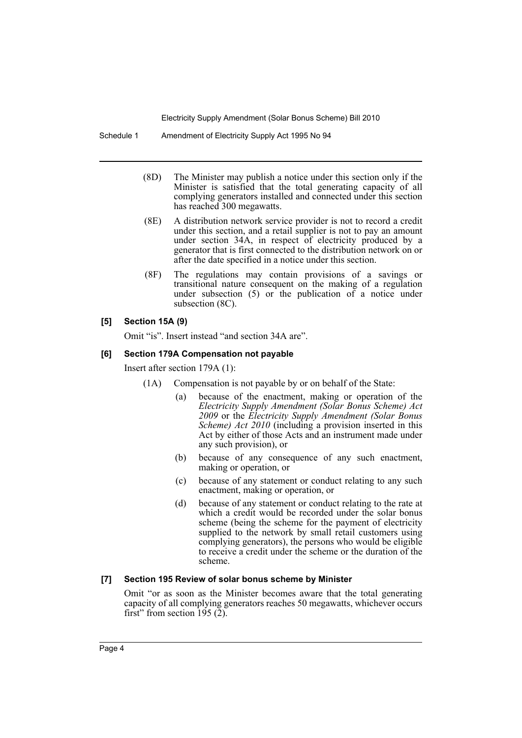Schedule 1 Amendment of Electricity Supply Act 1995 No 94

- (8D) The Minister may publish a notice under this section only if the Minister is satisfied that the total generating capacity of all complying generators installed and connected under this section has reached 300 megawatts.
- (8E) A distribution network service provider is not to record a credit under this section, and a retail supplier is not to pay an amount under section 34A, in respect of electricity produced by a generator that is first connected to the distribution network on or after the date specified in a notice under this section.
- (8F) The regulations may contain provisions of a savings or transitional nature consequent on the making of a regulation under subsection  $(5)$  or the publication of a notice under subsection (8C).

## **[5] Section 15A (9)**

Omit "is". Insert instead "and section 34A are".

#### **[6] Section 179A Compensation not payable**

Insert after section 179A (1):

- (1A) Compensation is not payable by or on behalf of the State:
	- (a) because of the enactment, making or operation of the *Electricity Supply Amendment (Solar Bonus Scheme) Act 2009* or the *Electricity Supply Amendment (Solar Bonus Scheme) Act 2010* (including a provision inserted in this Act by either of those Acts and an instrument made under any such provision), or
	- (b) because of any consequence of any such enactment, making or operation, or
	- (c) because of any statement or conduct relating to any such enactment, making or operation, or
	- (d) because of any statement or conduct relating to the rate at which a credit would be recorded under the solar bonus scheme (being the scheme for the payment of electricity supplied to the network by small retail customers using complying generators), the persons who would be eligible to receive a credit under the scheme or the duration of the scheme.

#### **[7] Section 195 Review of solar bonus scheme by Minister**

Omit "or as soon as the Minister becomes aware that the total generating capacity of all complying generators reaches 50 megawatts, whichever occurs first" from section 195 (2).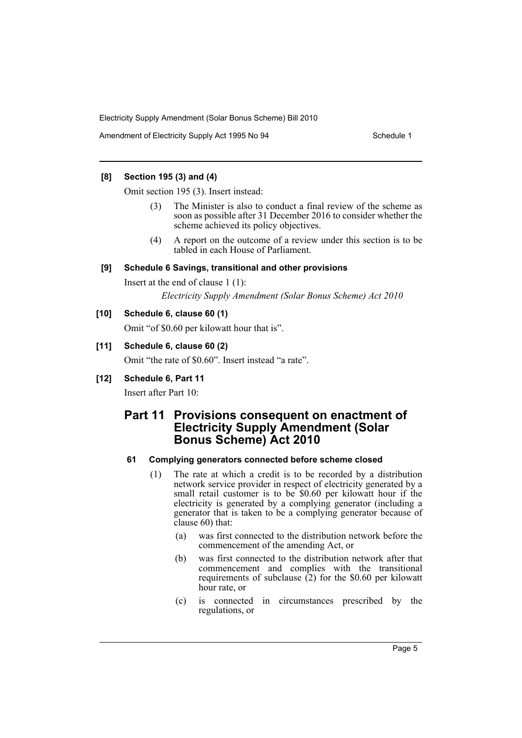Amendment of Electricity Supply Act 1995 No 94 Schedule 1

## **[8] Section 195 (3) and (4)**

Omit section 195 (3). Insert instead:

- The Minister is also to conduct a final review of the scheme as soon as possible after 31 December 2016 to consider whether the scheme achieved its policy objectives.
- (4) A report on the outcome of a review under this section is to be tabled in each House of Parliament.

## **[9] Schedule 6 Savings, transitional and other provisions**

Insert at the end of clause 1 (1):

*Electricity Supply Amendment (Solar Bonus Scheme) Act 2010*

## **[10] Schedule 6, clause 60 (1)**

Omit "of \$0.60 per kilowatt hour that is".

## **[11] Schedule 6, clause 60 (2)**

Omit "the rate of \$0.60". Insert instead "a rate".

## **[12] Schedule 6, Part 11**

Insert after Part 10:

## **Part 11 Provisions consequent on enactment of Electricity Supply Amendment (Solar Bonus Scheme) Act 2010**

#### **61 Complying generators connected before scheme closed**

- (1) The rate at which a credit is to be recorded by a distribution network service provider in respect of electricity generated by a small retail customer is to be \$0.60 per kilowatt hour if the electricity is generated by a complying generator (including a generator that is taken to be a complying generator because of clause 60) that:
	- (a) was first connected to the distribution network before the commencement of the amending Act, or
	- (b) was first connected to the distribution network after that commencement and complies with the transitional requirements of subclause  $(2)$  for the \$0.60 per kilowatt hour rate, or
	- (c) is connected in circumstances prescribed by the regulations, or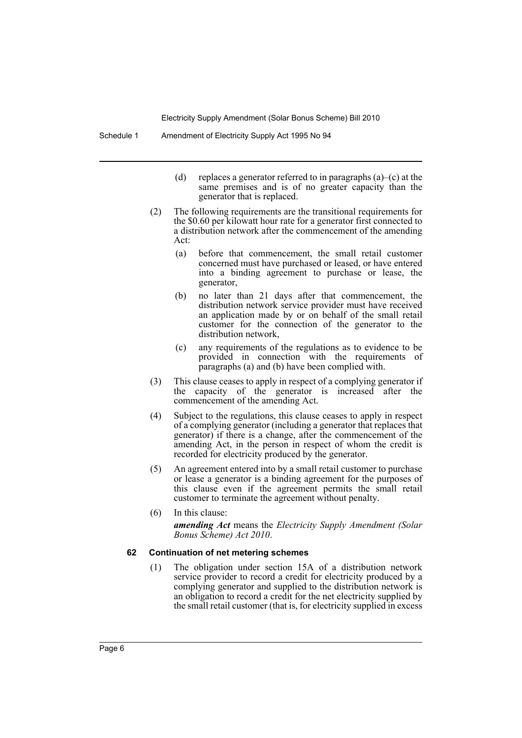- (d) replaces a generator referred to in paragraphs  $(a)$ –(c) at the same premises and is of no greater capacity than the generator that is replaced.
- (2) The following requirements are the transitional requirements for the \$0.60 per kilowatt hour rate for a generator first connected to a distribution network after the commencement of the amending Act:
	- (a) before that commencement, the small retail customer concerned must have purchased or leased, or have entered into a binding agreement to purchase or lease, the generator,
	- (b) no later than 21 days after that commencement, the distribution network service provider must have received an application made by or on behalf of the small retail customer for the connection of the generator to the distribution network,
	- (c) any requirements of the regulations as to evidence to be provided in connection with the requirements of paragraphs (a) and (b) have been complied with.
- (3) This clause ceases to apply in respect of a complying generator if the capacity of the generator is increased after the commencement of the amending Act.
- (4) Subject to the regulations, this clause ceases to apply in respect of a complying generator (including a generator that replaces that generator) if there is a change, after the commencement of the amending Act, in the person in respect of whom the credit is recorded for electricity produced by the generator.
- (5) An agreement entered into by a small retail customer to purchase or lease a generator is a binding agreement for the purposes of this clause even if the agreement permits the small retail customer to terminate the agreement without penalty.
- (6) In this clause: *amending Act* means the *Electricity Supply Amendment (Solar Bonus Scheme) Act 2010*.

#### **62 Continuation of net metering schemes**

(1) The obligation under section 15A of a distribution network service provider to record a credit for electricity produced by a complying generator and supplied to the distribution network is an obligation to record a credit for the net electricity supplied by the small retail customer (that is, for electricity supplied in excess